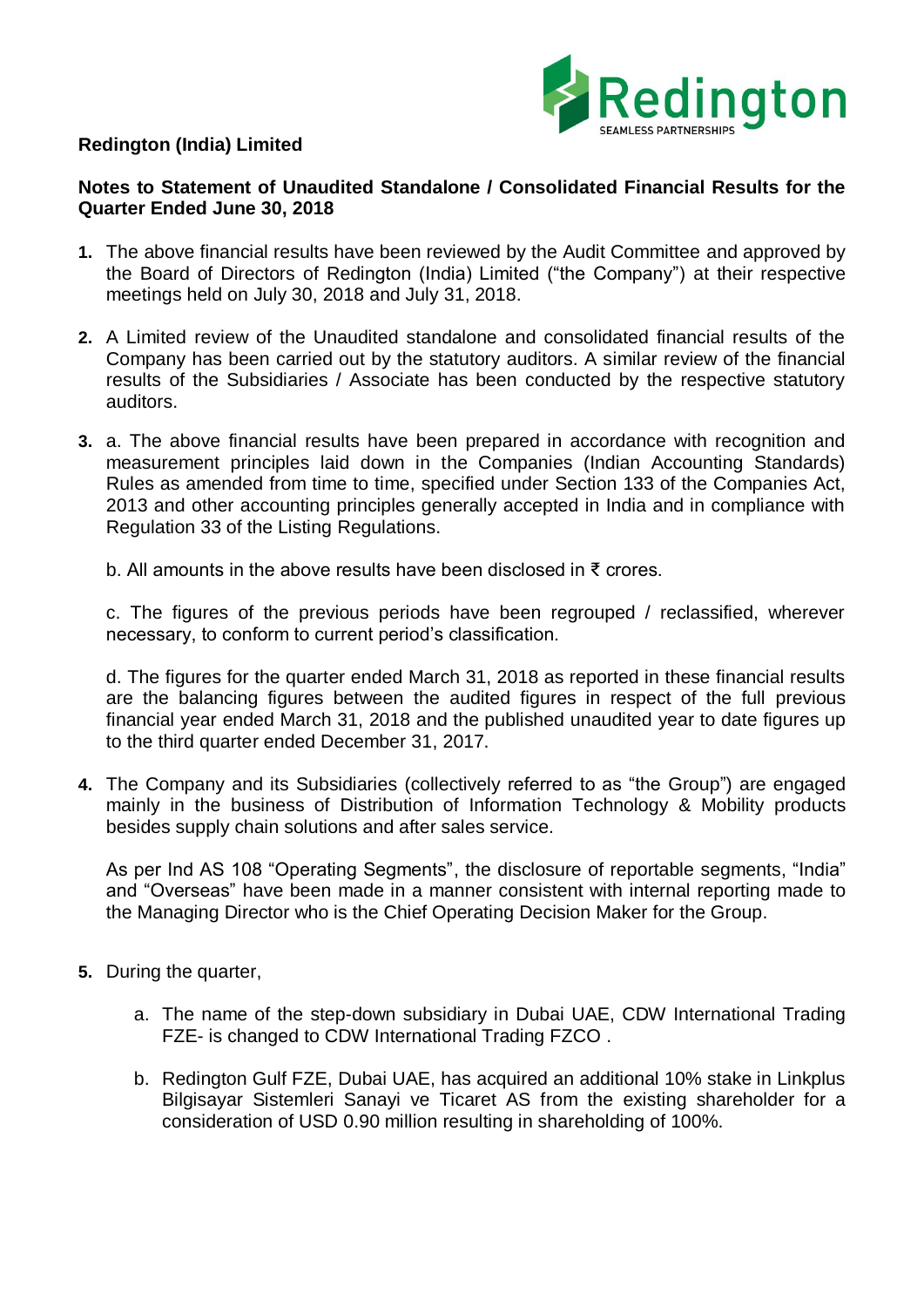

## **Redington (India) Limited**

## **Notes to Statement of Unaudited Standalone / Consolidated Financial Results for the Quarter Ended June 30, 2018**

- **1.** The above financial results have been reviewed by the Audit Committee and approved by the Board of Directors of Redington (India) Limited ("the Company") at their respective meetings held on July 30, 2018 and July 31, 2018.
- **2.** A Limited review of the Unaudited standalone and consolidated financial results of the Company has been carried out by the statutory auditors. A similar review of the financial results of the Subsidiaries / Associate has been conducted by the respective statutory auditors.
- **3.** a. The above financial results have been prepared in accordance with recognition and measurement principles laid down in the Companies (Indian Accounting Standards) Rules as amended from time to time, specified under Section 133 of the Companies Act, 2013 and other accounting principles generally accepted in India and in compliance with Regulation 33 of the Listing Regulations.

b. All amounts in the above results have been disclosed in ₹ crores.

c. The figures of the previous periods have been regrouped / reclassified, wherever necessary, to conform to current period's classification.

d. The figures for the quarter ended March 31, 2018 as reported in these financial results are the balancing figures between the audited figures in respect of the full previous financial year ended March 31, 2018 and the published unaudited year to date figures up to the third quarter ended December 31, 2017.

**4.** The Company and its Subsidiaries (collectively referred to as "the Group") are engaged mainly in the business of Distribution of Information Technology & Mobility products besides supply chain solutions and after sales service.

As per Ind AS 108 "Operating Segments", the disclosure of reportable segments, "India" and "Overseas" have been made in a manner consistent with internal reporting made to the Managing Director who is the Chief Operating Decision Maker for the Group.

- **5.** During the quarter,
	- a. The name of the step-down subsidiary in Dubai UAE, CDW International Trading FZE- is changed to CDW International Trading FZCO .
	- b. Redington Gulf FZE, Dubai UAE, has acquired an additional 10% stake in Linkplus Bilgisayar Sistemleri Sanayi ve Ticaret AS from the existing shareholder for a consideration of USD 0.90 million resulting in shareholding of 100%.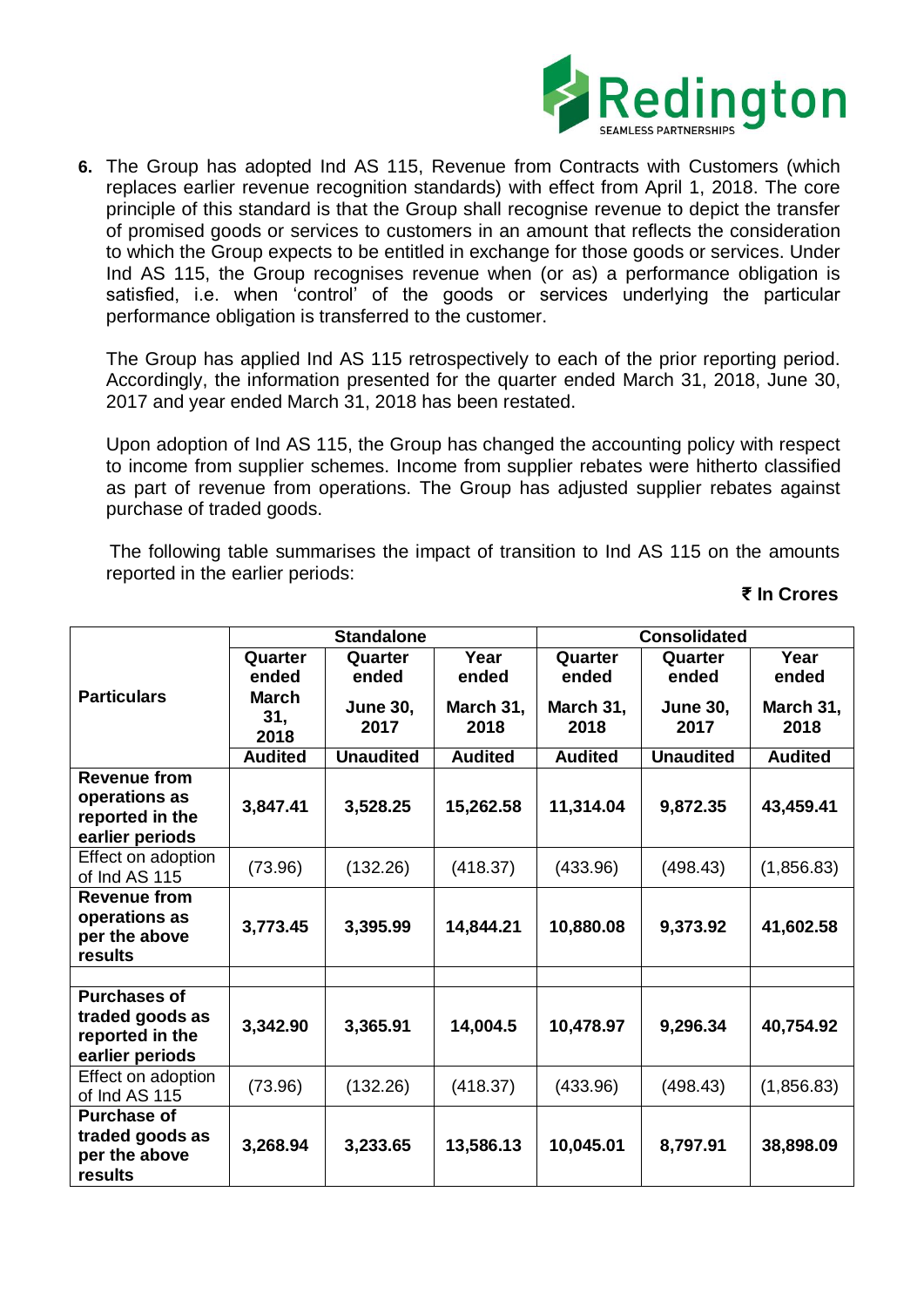

**6.** The Group has adopted Ind AS 115, Revenue from Contracts with Customers (which replaces earlier revenue recognition standards) with effect from April 1, 2018. The core principle of this standard is that the Group shall recognise revenue to depict the transfer of promised goods or services to customers in an amount that reflects the consideration to which the Group expects to be entitled in exchange for those goods or services. Under Ind AS 115, the Group recognises revenue when (or as) a performance obligation is satisfied, i.e. when 'control' of the goods or services underlying the particular performance obligation is transferred to the customer.

The Group has applied Ind AS 115 retrospectively to each of the prior reporting period. Accordingly, the information presented for the quarter ended March 31, 2018, June 30, 2017 and year ended March 31, 2018 has been restated.

Upon adoption of Ind AS 115, the Group has changed the accounting policy with respect to income from supplier schemes. Income from supplier rebates were hitherto classified as part of revenue from operations. The Group has adjusted supplier rebates against purchase of traded goods.

 The following table summarises the impact of transition to Ind AS 115 on the amounts reported in the earlier periods:

## **₹ In Crores**

|                                     | <b>Standalone</b>    |                         |                   | <b>Consolidated</b> |                         |                   |  |
|-------------------------------------|----------------------|-------------------------|-------------------|---------------------|-------------------------|-------------------|--|
| <b>Particulars</b>                  | Quarter              | Quarter                 | Year              | Quarter             | Quarter                 | Year              |  |
|                                     | ended                | ended                   | ended             | ended               | ended                   | ended             |  |
|                                     | March<br>31,<br>2018 | <b>June 30,</b><br>2017 | March 31,<br>2018 | March 31,<br>2018   | <b>June 30,</b><br>2017 | March 31,<br>2018 |  |
|                                     | <b>Audited</b>       | <b>Unaudited</b>        | <b>Audited</b>    | <b>Audited</b>      | <b>Unaudited</b>        | <b>Audited</b>    |  |
| <b>Revenue from</b>                 |                      |                         |                   |                     |                         |                   |  |
| operations as                       | 3,847.41             | 3,528.25                | 15,262.58         | 11,314.04           | 9,872.35                | 43,459.41         |  |
| reported in the                     |                      |                         |                   |                     |                         |                   |  |
| earlier periods                     |                      |                         |                   |                     |                         |                   |  |
| Effect on adoption<br>of Ind AS 115 | (73.96)              | (132.26)                | (418.37)          | (433.96)            | (498.43)                | (1,856.83)        |  |
| <b>Revenue from</b>                 |                      |                         |                   |                     |                         |                   |  |
| operations as                       | 3,773.45             | 3,395.99                | 14,844.21         | 10,880.08           | 9,373.92                | 41,602.58         |  |
| per the above                       |                      |                         |                   |                     |                         |                   |  |
| results                             |                      |                         |                   |                     |                         |                   |  |
| <b>Purchases of</b>                 |                      |                         |                   |                     |                         |                   |  |
| traded goods as                     |                      |                         |                   |                     |                         |                   |  |
| reported in the                     | 3,342.90             | 3,365.91                | 14,004.5          | 10,478.97           | 9,296.34                | 40,754.92         |  |
| earlier periods                     |                      |                         |                   |                     |                         |                   |  |
| Effect on adoption                  |                      |                         |                   |                     |                         |                   |  |
| of Ind AS 115                       | (73.96)              | (132.26)                | (418.37)          | (433.96)            | (498.43)                | (1,856.83)        |  |
| <b>Purchase of</b>                  |                      |                         |                   |                     |                         |                   |  |
| traded goods as                     | 3,268.94             | 3,233.65                | 13,586.13         | 10,045.01           | 8,797.91                | 38,898.09         |  |
| per the above                       |                      |                         |                   |                     |                         |                   |  |
| results                             |                      |                         |                   |                     |                         |                   |  |